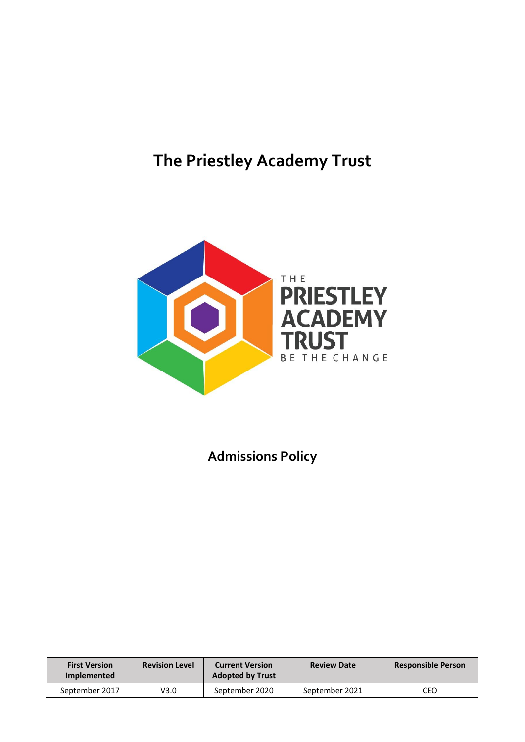# **The Priestley Academy Trust**



**Admissions Policy**

| <b>First Version</b><br><b>Implemented</b> | <b>Revision Level</b> | <b>Current Version</b><br><b>Adopted by Trust</b> | <b>Review Date</b> | <b>Responsible Person</b> |  |  |
|--------------------------------------------|-----------------------|---------------------------------------------------|--------------------|---------------------------|--|--|
| September 2017                             | V3.0                  | September 2020                                    | September 2021     | CEO                       |  |  |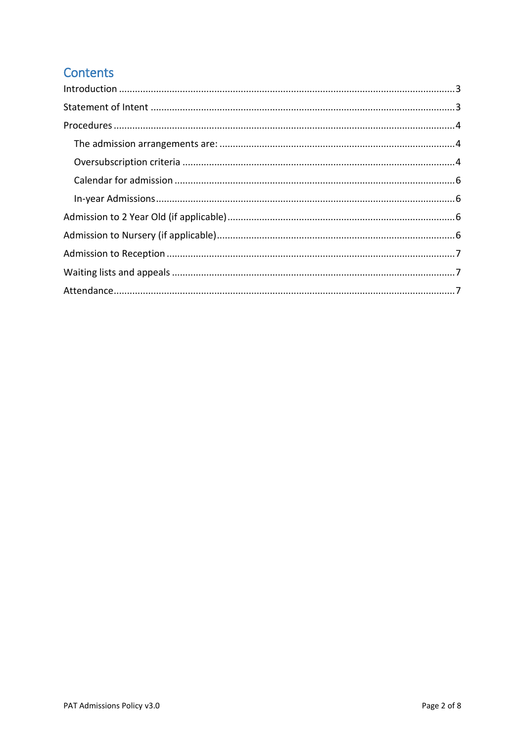# **Contents**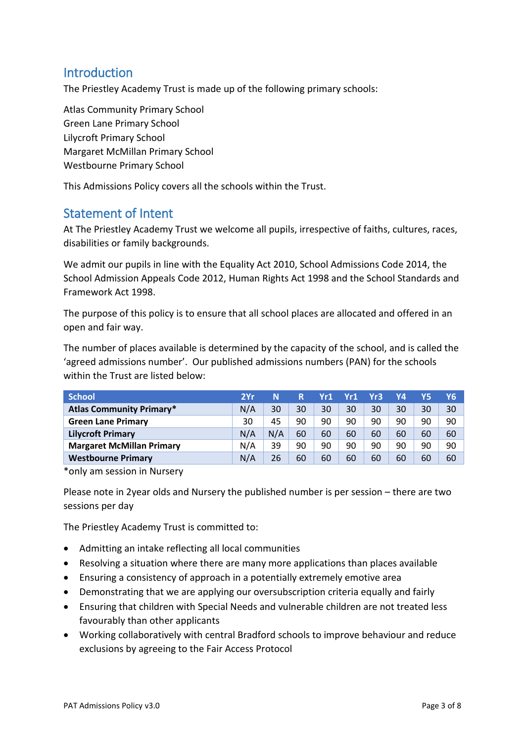# <span id="page-2-0"></span>**Introduction**

The Priestley Academy Trust is made up of the following primary schools:

Atlas Community Primary School Green Lane Primary School Lilycroft Primary School Margaret McMillan Primary School Westbourne Primary School

This Admissions Policy covers all the schools within the Trust.

# <span id="page-2-1"></span>Statement of Intent

At The Priestley Academy Trust we welcome all pupils, irrespective of faiths, cultures, races, disabilities or family backgrounds.

We admit our pupils in line with the Equality Act 2010, School Admissions Code 2014, the School Admission Appeals Code 2012, Human Rights Act 1998 and the School Standards and Framework Act 1998.

The purpose of this policy is to ensure that all school places are allocated and offered in an open and fair way.

The number of places available is determined by the capacity of the school, and is called the 'agreed admissions number'. Our published admissions numbers (PAN) for the schools within the Trust are listed below:

| <b>School</b>                    |     | N   | R  | Yr1 | Yr1 | Yr3 | Υ4 | Y5 | Υ6 |
|----------------------------------|-----|-----|----|-----|-----|-----|----|----|----|
| <b>Atlas Community Primary*</b>  |     | 30  | 30 | 30  | 30  | 30  | 30 | 30 | 30 |
| <b>Green Lane Primary</b>        |     | 45  | 90 | 90  | 90  | 90  | 90 | 90 | 90 |
| <b>Lilycroft Primary</b>         | N/A | N/A | 60 | 60  | 60  | 60  | 60 | 60 | 60 |
| <b>Margaret McMillan Primary</b> | N/A | 39  | 90 | 90  | 90  | 90  | 90 | 90 | 90 |
| <b>Westbourne Primary</b>        | N/A | 26  | 60 | 60  | 60  | 60  | 60 | 60 | 60 |

\*only am session in Nursery

Please note in 2year olds and Nursery the published number is per session – there are two sessions per day

The Priestley Academy Trust is committed to:

- Admitting an intake reflecting all local communities
- Resolving a situation where there are many more applications than places available
- Ensuring a consistency of approach in a potentially extremely emotive area
- Demonstrating that we are applying our oversubscription criteria equally and fairly
- Ensuring that children with Special Needs and vulnerable children are not treated less favourably than other applicants
- Working collaboratively with central Bradford schools to improve behaviour and reduce exclusions by agreeing to the Fair Access Protocol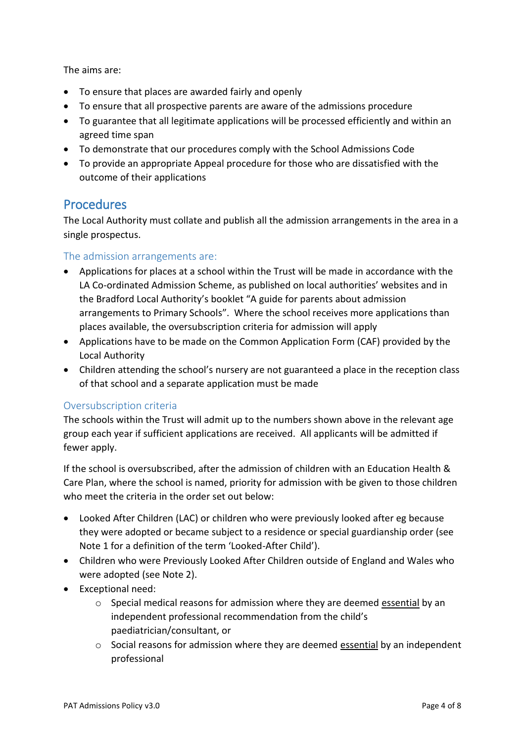The aims are:

- To ensure that places are awarded fairly and openly
- To ensure that all prospective parents are aware of the admissions procedure
- To guarantee that all legitimate applications will be processed efficiently and within an agreed time span
- To demonstrate that our procedures comply with the School Admissions Code
- To provide an appropriate Appeal procedure for those who are dissatisfied with the outcome of their applications

# <span id="page-3-0"></span>Procedures

The Local Authority must collate and publish all the admission arrangements in the area in a single prospectus.

#### <span id="page-3-1"></span>The admission arrangements are:

- Applications for places at a school within the Trust will be made in accordance with the LA Co-ordinated Admission Scheme, as published on local authorities' websites and in the Bradford Local Authority's booklet "A guide for parents about admission arrangements to Primary Schools". Where the school receives more applications than places available, the oversubscription criteria for admission will apply
- Applications have to be made on the Common Application Form (CAF) provided by the Local Authority
- Children attending the school's nursery are not guaranteed a place in the reception class of that school and a separate application must be made

#### <span id="page-3-2"></span>Oversubscription criteria

The schools within the Trust will admit up to the numbers shown above in the relevant age group each year if sufficient applications are received. All applicants will be admitted if fewer apply.

If the school is oversubscribed, after the admission of children with an Education Health & Care Plan, where the school is named, priority for admission with be given to those children who meet the criteria in the order set out below:

- Looked After Children (LAC) or children who were previously looked after eg because they were adopted or became subject to a residence or special guardianship order (see Note 1 for a definition of the term 'Looked-After Child').
- Children who were Previously Looked After Children outside of England and Wales who were adopted (see Note 2).
- Exceptional need:
	- $\circ$  Special medical reasons for admission where they are deemed essential by an independent professional recommendation from the child's paediatrician/consultant, or
	- $\circ$  Social reasons for admission where they are deemed essential by an independent professional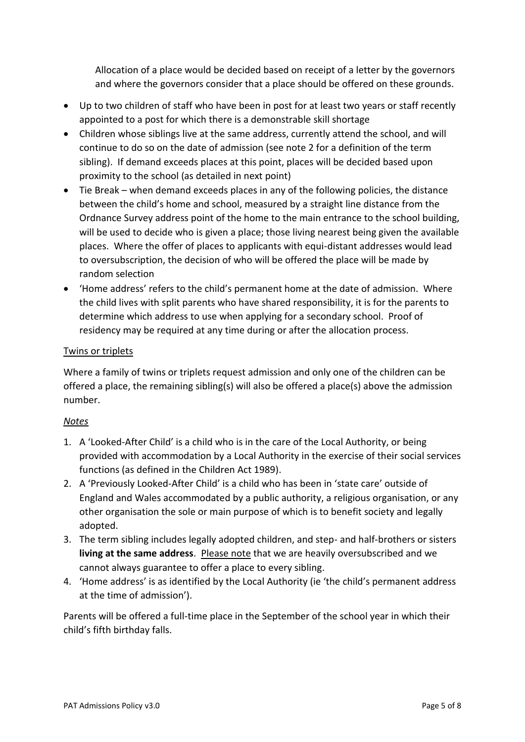Allocation of a place would be decided based on receipt of a letter by the governors and where the governors consider that a place should be offered on these grounds.

- Up to two children of staff who have been in post for at least two years or staff recently appointed to a post for which there is a demonstrable skill shortage
- Children whose siblings live at the same address, currently attend the school, and will continue to do so on the date of admission (see note 2 for a definition of the term sibling). If demand exceeds places at this point, places will be decided based upon proximity to the school (as detailed in next point)
- Tie Break when demand exceeds places in any of the following policies, the distance between the child's home and school, measured by a straight line distance from the Ordnance Survey address point of the home to the main entrance to the school building, will be used to decide who is given a place; those living nearest being given the available places. Where the offer of places to applicants with equi-distant addresses would lead to oversubscription, the decision of who will be offered the place will be made by random selection
- 'Home address' refers to the child's permanent home at the date of admission. Where the child lives with split parents who have shared responsibility, it is for the parents to determine which address to use when applying for a secondary school. Proof of residency may be required at any time during or after the allocation process.

#### Twins or triplets

Where a family of twins or triplets request admission and only one of the children can be offered a place, the remaining sibling(s) will also be offered a place(s) above the admission number.

#### *Notes*

- 1. A 'Looked-After Child' is a child who is in the care of the Local Authority, or being provided with accommodation by a Local Authority in the exercise of their social services functions (as defined in the Children Act 1989).
- 2. A 'Previously Looked-After Child' is a child who has been in 'state care' outside of England and Wales accommodated by a public authority, a religious organisation, or any other organisation the sole or main purpose of which is to benefit society and legally adopted.
- 3. The term sibling includes legally adopted children, and step- and half-brothers or sisters **living at the same address**. Please note that we are heavily oversubscribed and we cannot always guarantee to offer a place to every sibling.
- 4. 'Home address' is as identified by the Local Authority (ie 'the child's permanent address at the time of admission').

Parents will be offered a full-time place in the September of the school year in which their child's fifth birthday falls.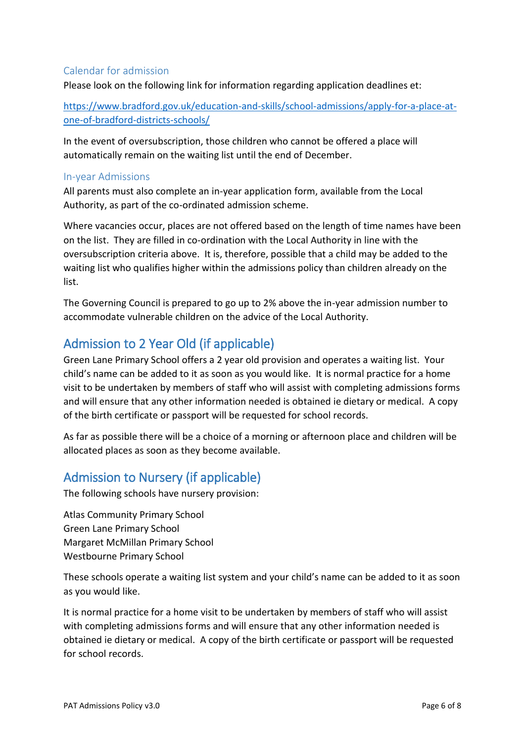#### <span id="page-5-0"></span>Calendar for admission

Please look on the following link for information regarding application deadlines et:

[https://www.bradford.gov.uk/education-and-skills/school-admissions/apply-for-a-place-at](https://www.bradford.gov.uk/education-and-skills/school-admissions/apply-for-a-place-at-one-of-bradford-districts-schools/)[one-of-bradford-districts-schools/](https://www.bradford.gov.uk/education-and-skills/school-admissions/apply-for-a-place-at-one-of-bradford-districts-schools/)

In the event of oversubscription, those children who cannot be offered a place will automatically remain on the waiting list until the end of December.

#### <span id="page-5-1"></span>In-year Admissions

All parents must also complete an in-year application form, available from the Local Authority, as part of the co-ordinated admission scheme.

Where vacancies occur, places are not offered based on the length of time names have been on the list. They are filled in co-ordination with the Local Authority in line with the oversubscription criteria above. It is, therefore, possible that a child may be added to the waiting list who qualifies higher within the admissions policy than children already on the list.

The Governing Council is prepared to go up to 2% above the in-year admission number to accommodate vulnerable children on the advice of the Local Authority.

# <span id="page-5-2"></span>Admission to 2 Year Old (if applicable)

Green Lane Primary School offers a 2 year old provision and operates a waiting list. Your child's name can be added to it as soon as you would like. It is normal practice for a home visit to be undertaken by members of staff who will assist with completing admissions forms and will ensure that any other information needed is obtained ie dietary or medical. A copy of the birth certificate or passport will be requested for school records.

As far as possible there will be a choice of a morning or afternoon place and children will be allocated places as soon as they become available.

# <span id="page-5-3"></span>Admission to Nursery (if applicable)

The following schools have nursery provision:

Atlas Community Primary School Green Lane Primary School Margaret McMillan Primary School Westbourne Primary School

These schools operate a waiting list system and your child's name can be added to it as soon as you would like.

It is normal practice for a home visit to be undertaken by members of staff who will assist with completing admissions forms and will ensure that any other information needed is obtained ie dietary or medical. A copy of the birth certificate or passport will be requested for school records.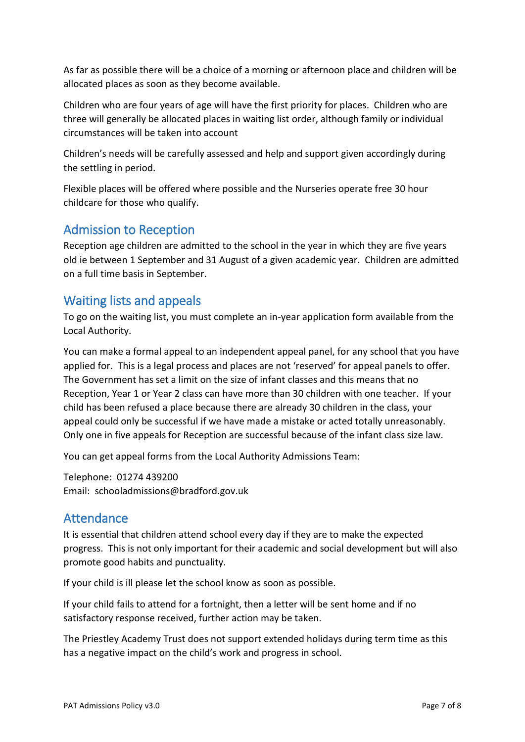As far as possible there will be a choice of a morning or afternoon place and children will be allocated places as soon as they become available.

Children who are four years of age will have the first priority for places. Children who are three will generally be allocated places in waiting list order, although family or individual circumstances will be taken into account

Children's needs will be carefully assessed and help and support given accordingly during the settling in period.

Flexible places will be offered where possible and the Nurseries operate free 30 hour childcare for those who qualify.

# <span id="page-6-0"></span>Admission to Reception

Reception age children are admitted to the school in the year in which they are five years old ie between 1 September and 31 August of a given academic year. Children are admitted on a full time basis in September.

# <span id="page-6-1"></span>Waiting lists and appeals

To go on the waiting list, you must complete an in-year application form available from the Local Authority.

You can make a formal appeal to an independent appeal panel, for any school that you have applied for. This is a legal process and places are not 'reserved' for appeal panels to offer. The Government has set a limit on the size of infant classes and this means that no Reception, Year 1 or Year 2 class can have more than 30 children with one teacher. If your child has been refused a place because there are already 30 children in the class, your appeal could only be successful if we have made a mistake or acted totally unreasonably. Only one in five appeals for Reception are successful because of the infant class size law.

You can get appeal forms from the Local Authority Admissions Team:

Telephone: 01274 439200 Email: schooladmissions@bradford.gov.uk

# <span id="page-6-2"></span>Attendance

It is essential that children attend school every day if they are to make the expected progress. This is not only important for their academic and social development but will also promote good habits and punctuality.

If your child is ill please let the school know as soon as possible.

If your child fails to attend for a fortnight, then a letter will be sent home and if no satisfactory response received, further action may be taken.

The Priestley Academy Trust does not support extended holidays during term time as this has a negative impact on the child's work and progress in school.